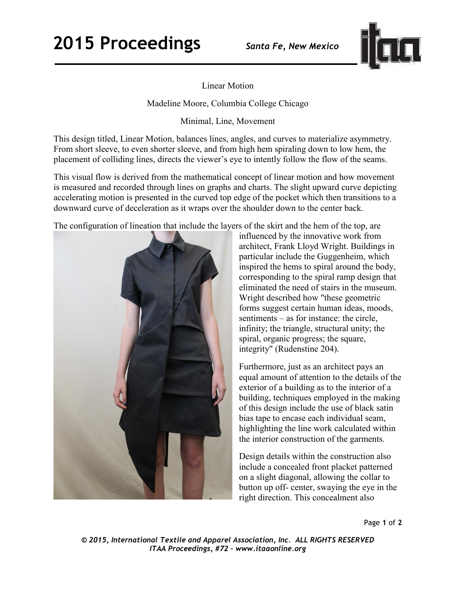## **2015 Proceedings** *Santa Fe, New Mexico*



Linear Motion

Madeline Moore, Columbia College Chicago

Minimal, Line, Movement

This design titled, Linear Motion, balances lines, angles, and curves to materialize asymmetry. From short sleeve, to even shorter sleeve, and from high hem spiraling down to low hem, the placement of colliding lines, directs the viewer's eye to intently follow the flow of the seams.

This visual flow is derived from the mathematical concept of linear motion and how movement is measured and recorded through lines on graphs and charts. The slight upward curve depicting accelerating motion is presented in the curved top edge of the pocket which then transitions to a downward curve of deceleration as it wraps over the shoulder down to the center back.

The configuration of lineation that include the layers of the skirt and the hem of the top, are



influenced by the innovative work from architect, Frank Lloyd Wright. Buildings in particular include the Guggenheim, which inspired the hems to spiral around the body, corresponding to the spiral ramp design that eliminated the need of stairs in the museum. Wright described how "these geometric forms suggest certain human ideas, moods, sentiments – as for instance: the circle, infinity; the triangle, structural unity; the spiral, organic progress; the square, integrity" (Rudenstine 204).

Furthermore, just as an architect pays an equal amount of attention to the details of the exterior of a building as to the interior of a building, techniques employed in the making of this design include the use of black satin bias tape to encase each individual seam, highlighting the line work calculated within the interior construction of the garments.

Design details within the construction also include a concealed front placket patterned on a slight diagonal, allowing the collar to button up off- center, swaying the eye in the right direction. This concealment also

Page **1** of **2** 

*© 2015, International Textile and Apparel Association, Inc. ALL RIGHTS RESERVED ITAA Proceedings, #72 – www.itaaonline.org*